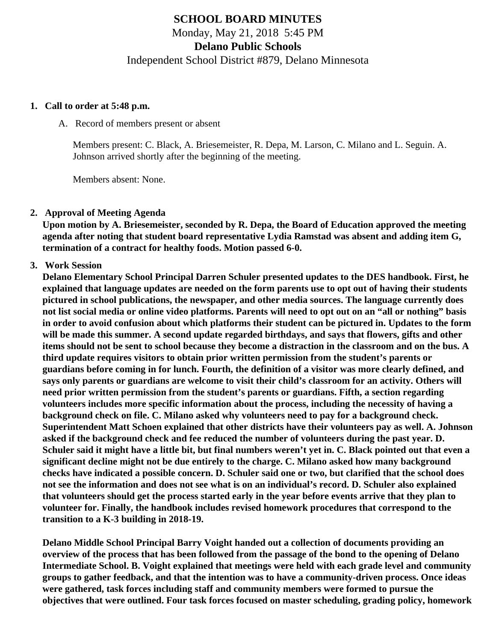# **SCHOOL BOARD MINUTES** Monday, May 21, 2018 5:45 PM **Delano Public Schools** Independent School District #879, Delano Minnesota

#### **1. Call to order at 5:48 p.m.**

A. Record of members present or absent

Members present: C. Black, A. Briesemeister, R. Depa, M. Larson, C. Milano and L. Seguin. A. Johnson arrived shortly after the beginning of the meeting.

Members absent: None.

#### **2. Approval of Meeting Agenda**

**Upon motion by A. Briesemeister, seconded by R. Depa, the Board of Education approved the meeting agenda after noting that student board representative Lydia Ramstad was absent and adding item G, termination of a contract for healthy foods. Motion passed 6-0.**

#### **3. Work Session**

**Delano Elementary School Principal Darren Schuler presented updates to the DES handbook. First, he explained that language updates are needed on the form parents use to opt out of having their students pictured in school publications, the newspaper, and other media sources. The language currently does not list social media or online video platforms. Parents will need to opt out on an "all or nothing" basis in order to avoid confusion about which platforms their student can be pictured in. Updates to the form will be made this summer. A second update regarded birthdays, and says that flowers, gifts and other items should not be sent to school because they become a distraction in the classroom and on the bus. A third update requires visitors to obtain prior written permission from the student's parents or guardians before coming in for lunch. Fourth, the definition of a visitor was more clearly defined, and says only parents or guardians are welcome to visit their child's classroom for an activity. Others will need prior written permission from the student's parents or guardians. Fifth, a section regarding volunteers includes more specific information about the process, including the necessity of having a background check on file. C. Milano asked why volunteers need to pay for a background check. Superintendent Matt Schoen explained that other districts have their volunteers pay as well. A. Johnson asked if the background check and fee reduced the number of volunteers during the past year. D. Schuler said it might have a little bit, but final numbers weren't yet in. C. Black pointed out that even a significant decline might not be due entirely to the charge. C. Milano asked how many background checks have indicated a possible concern. D. Schuler said one or two, but clarified that the school does not see the information and does not see what is on an individual's record. D. Schuler also explained that volunteers should get the process started early in the year before events arrive that they plan to volunteer for. Finally, the handbook includes revised homework procedures that correspond to the transition to a K-3 building in 2018-19.**

**Delano Middle School Principal Barry Voight handed out a collection of documents providing an overview of the process that has been followed from the passage of the bond to the opening of Delano Intermediate School. B. Voight explained that meetings were held with each grade level and community groups to gather feedback, and that the intention was to have a community-driven process. Once ideas were gathered, task forces including staff and community members were formed to pursue the objectives that were outlined. Four task forces focused on master scheduling, grading policy, homework**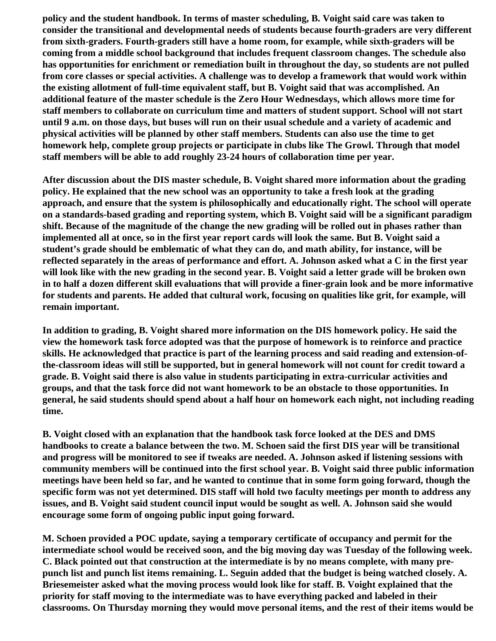**policy and the student handbook. In terms of master scheduling, B. Voight said care was taken to consider the transitional and developmental needs of students because fourth-graders are very different from sixth-graders. Fourth-graders still have a home room, for example, while sixth-graders will be coming from a middle school background that includes frequent classroom changes. The schedule also has opportunities for enrichment or remediation built in throughout the day, so students are not pulled from core classes or special activities. A challenge was to develop a framework that would work within the existing allotment of full-time equivalent staff, but B. Voight said that was accomplished. An additional feature of the master schedule is the Zero Hour Wednesdays, which allows more time for staff members to collaborate on curriculum time and matters of student support. School will not start until 9 a.m. on those days, but buses will run on their usual schedule and a variety of academic and physical activities will be planned by other staff members. Students can also use the time to get homework help, complete group projects or participate in clubs like The Growl. Through that model staff members will be able to add roughly 23-24 hours of collaboration time per year.**

**After discussion about the DIS master schedule, B. Voight shared more information about the grading policy. He explained that the new school was an opportunity to take a fresh look at the grading approach, and ensure that the system is philosophically and educationally right. The school will operate on a standards-based grading and reporting system, which B. Voight said will be a significant paradigm shift. Because of the magnitude of the change the new grading will be rolled out in phases rather than implemented all at once, so in the first year report cards will look the same. But B. Voight said a student's grade should be emblematic of what they can do, and math ability, for instance, will be reflected separately in the areas of performance and effort. A. Johnson asked what a C in the first year will look like with the new grading in the second year. B. Voight said a letter grade will be broken own in to half a dozen different skill evaluations that will provide a finer-grain look and be more informative for students and parents. He added that cultural work, focusing on qualities like grit, for example, will remain important.**

**In addition to grading, B. Voight shared more information on the DIS homework policy. He said the view the homework task force adopted was that the purpose of homework is to reinforce and practice skills. He acknowledged that practice is part of the learning process and said reading and extension-ofthe-classroom ideas will still be supported, but in general homework will not count for credit toward a grade. B. Voight said there is also value in students participating in extra-curricular activities and groups, and that the task force did not want homework to be an obstacle to those opportunities. In general, he said students should spend about a half hour on homework each night, not including reading time.**

**B. Voight closed with an explanation that the handbook task force looked at the DES and DMS handbooks to create a balance between the two. M. Schoen said the first DIS year will be transitional and progress will be monitored to see if tweaks are needed. A. Johnson asked if listening sessions with community members will be continued into the first school year. B. Voight said three public information meetings have been held so far, and he wanted to continue that in some form going forward, though the specific form was not yet determined. DIS staff will hold two faculty meetings per month to address any issues, and B. Voight said student council input would be sought as well. A. Johnson said she would encourage some form of ongoing public input going forward.**

**M. Schoen provided a POC update, saying a temporary certificate of occupancy and permit for the intermediate school would be received soon, and the big moving day was Tuesday of the following week. C. Black pointed out that construction at the intermediate is by no means complete, with many prepunch list and punch list items remaining. L. Seguin added that the budget is being watched closely. A. Briesemeister asked what the moving process would look like for staff. B. Voight explained that the priority for staff moving to the intermediate was to have everything packed and labeled in their classrooms. On Thursday morning they would move personal items, and the rest of their items would be**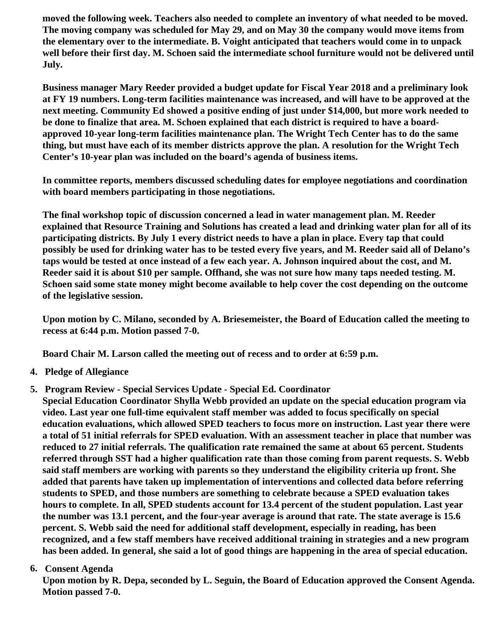**moved the following week. Teachers also needed to complete an inventory of what needed to be moved. The moving company was scheduled for May 29, and on May 30 the company would move items from the elementary over to the intermediate. B. Voight anticipated that teachers would come in to unpack well before their first day. M. Schoen said the intermediate school furniture would not be delivered until July.**

**Business manager Mary Reeder provided a budget update for Fiscal Year 2018 and a preliminary look at FY 19 numbers. Long-term facilities maintenance was increased, and will have to be approved at the next meeting. Community Ed showed a positive ending of just under \$14,000, but more work needed to be done to finalize that area. M. Schoen explained that each district is required to have a boardapproved 10-year long-term facilities maintenance plan. The Wright Tech Center has to do the same thing, but must have each of its member districts approve the plan. A resolution for the Wright Tech Center's 10-year plan was included on the board's agenda of business items.**

**In committee reports, members discussed scheduling dates for employee negotiations and coordination with board members participating in those negotiations.**

**The final workshop topic of discussion concerned a lead in water management plan. M. Reeder explained that Resource Training and Solutions has created a lead and drinking water plan for all of its participating districts. By July 1 every district needs to have a plan in place. Every tap that could possibly be used for drinking water has to be tested every five years, and M. Reeder said all of Delano's taps would be tested at once instead of a few each year. A. Johnson inquired about the cost, and M. Reeder said it is about \$10 per sample. Offhand, she was not sure how many taps needed testing. M. Schoen said some state money might become available to help cover the cost depending on the outcome of the legislative session.**

**Upon motion by C. Milano, seconded by A. Briesemeister, the Board of Education called the meeting to recess at 6:44 p.m. Motion passed 7-0.**

**Board Chair M. Larson called the meeting out of recess and to order at 6:59 p.m.**

- **4. Pledge of Allegiance**
- **5. Program Review Special Services Update Special Ed. Coordinator**

**Special Education Coordinator Shylla Webb provided an update on the special education program via video. Last year one full-time equivalent staff member was added to focus specifically on special education evaluations, which allowed SPED teachers to focus more on instruction. Last year there were a total of 51 initial referrals for SPED evaluation. With an assessment teacher in place that number was reduced to 27 initial referrals. The qualification rate remained the same at about 65 percent. Students referred through SST had a higher qualification rate than those coming from parent requests. S. Webb said staff members are working with parents so they understand the eligibility criteria up front. She added that parents have taken up implementation of interventions and collected data before referring students to SPED, and those numbers are something to celebrate because a SPED evaluation takes hours to complete. In all, SPED students account for 13.4 percent of the student population. Last year the number was 13.1 percent, and the four-year average is around that rate. The state average is 15.6 percent. S. Webb said the need for additional staff development, especially in reading, has been recognized, and a few staff members have received additional training in strategies and a new program has been added. In general, she said a lot of good things are happening in the area of special education.**

**6. Consent Agenda**

**Upon motion by R. Depa, seconded by L. Seguin, the Board of Education approved the Consent Agenda. Motion passed 7-0.**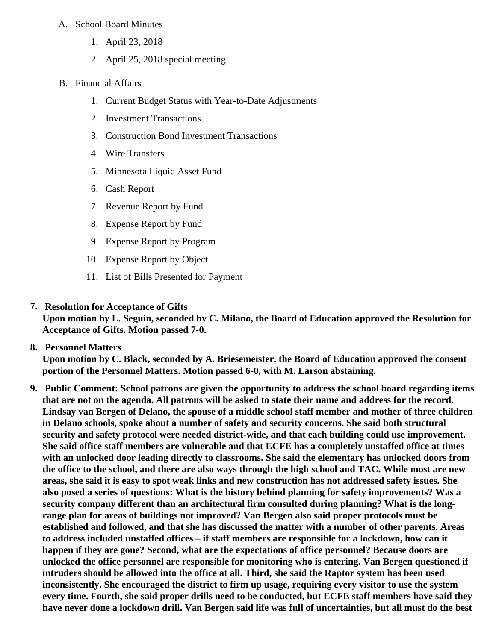## A. School Board Minutes

- 1. [April 23, 2018](http://www.delano.k12.mn.us/pb/app/agenda/minutes/172)
- 2. [April 25, 2018 special meetin](/docs/district/2017_18/School_Board_Items/May_2018/Special_Meeting_Minutes_April_25,_2018.pdf)g
- B. Financial Affairs
	- 1. [Current Budget Status with Year-to-Date Adjustm](/docs/district/Business_Office/FY18_Budget_Report_May.pdf)ents
	- 2. [Investment Transactio](/docs/district/Business_Office/April_2018_Investments.pdf)ns
	- 3. [Construction Bond Investment Transacti](/docs/district/Business_Office/Bond_Investment_schedule_Apr_18.pdf)ons
	- 4. [Wire Transfer](/docs/district/Business_Office/April_2018_Wire_Transfer.pdf)s
	- 5. [Minnesota Liquid Asset Fun](/docs/district/Business_Office/April_2018_LAF.pdf)d
	- 6. [Cash Repo](/docs/district/Business_Office/April_2018_Cash_Report.pdf)rt
	- 7. [Revenue Report by Fu](/docs/district/Business_Office/Rev_by_Fund.pdf)nd
	- 8. [Expense Report by Fu](/docs/district/Business_Office/Exp_by_Fund.pdf)nd
	- 9. [Expense Report by Progra](/docs/district/Business_Office/Exp_by_Program.pdf)m
	- 10. [Expense Report by Obje](/docs/district/Business_Office/Exp_by_Object.pdf)ct
	- 11. [List of Bills Presented for Payme](/docs/district/Business_Office/Monthly_Checks.pdf)nt
- 7. [Resolution for Acceptance of Gifts](/docs/district/Business_Office/Resolution_for_Acceptance_of_Gifts_5.21.18.pdf)

Upon motion by L. Seguin, seconded by C. Milano, the Board of Education approved the Resolution for Acceptance of Gifts. Motion passed 7-0.

8. [Personnel Matters](/docs/district/HR/05.21.18_Personnel.pdf)

Upon motion by C. Black, seconded by A. Briesemeister, the Board of Education approved the consent portion of the Personnel Matters. Motion passed 6-0, with M. Larson abstaining.

9. Public Comment: School patrons are given the opportunity to address the school board regarding items that are not on the agenda. All patrons will be asked to state their name and address for the record. Lindsay van Bergen of Delano, the spouse of a middle school staff member and mother of three children in Delano schools, spoke about a number of safety and security concerns. She said both structural security and safety protocol were needed district-wide, and that each building could use improvement. She said office staff members are vulnerable and that ECFE has a completely unstaffed office at times with an unlocked door leading directly to classrooms. She said the elementary has unlocked doors from the office to the school, and there are also ways through the high school and TAC. While most are new areas, she said it is easy to spot weak links and new construction has not addressed safety issues. She also posed a series of questions: What is the history behind planning for safety improvements? Was a security company different than an architectural firm consulted during planning? What is the longrange plan for areas of buildings not improved? Van Bergen also said proper protocols must be established and followed, and that she has discussed the matter with a number of other parents. Areas to address included unstaffed offices – if staff members are responsible for a lockdown, how can it happen if they are gone? Second, what are the expectations of office personnel? Because doors are unlocked the office personnel are responsible for monitoring who is entering. Van Bergen questioned if intruders should be allowed into the office at all. Third, she said the Raptor system has been used inconsistently. She encouraged the district to firm up usage, requiring every visitor to use the system every time. Fourth, she said proper drills need to be conducted, but ECFE staff members have said they have never done a lockdown drill. Van Bergen said life was full of uncertainties, but all must do the best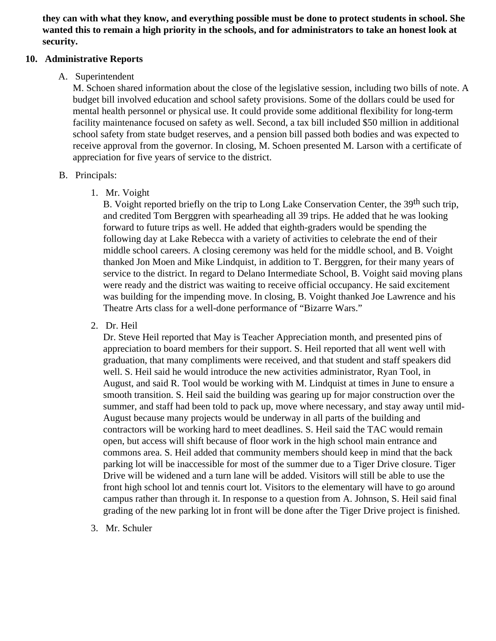**they can with what they know, and everything possible must be done to protect students in school. She wanted this to remain a high priority in the schools, and for administrators to take an honest look at security.**

#### **10. Administrative Reports**

### A. Superintendent

M. Schoen shared information about the close of the legislative session, including two bills of note. A budget bill involved education and school safety provisions. Some of the dollars could be used for mental health personnel or physical use. It could provide some additional flexibility for long-term facility maintenance focused on safety as well. Second, a tax bill included \$50 million in additional school safety from state budget reserves, and a pension bill passed both bodies and was expected to receive approval from the governor. In closing, M. Schoen presented M. Larson with a certificate of appreciation for five years of service to the district.

### B. Principals:

1. Mr. Voight

B. Voight reported briefly on the trip to Long Lake Conservation Center, the 39<sup>th</sup> such trip, and credited Tom Berggren with spearheading all 39 trips. He added that he was looking forward to future trips as well. He added that eighth-graders would be spending the following day at Lake Rebecca with a variety of activities to celebrate the end of their middle school careers. A closing ceremony was held for the middle school, and B. Voight thanked Jon Moen and Mike Lindquist, in addition to T. Berggren, for their many years of service to the district. In regard to Delano Intermediate School, B. Voight said moving plans were ready and the district was waiting to receive official occupancy. He said excitement was building for the impending move. In closing, B. Voight thanked Joe Lawrence and his Theatre Arts class for a well-done performance of "Bizarre Wars."

2. Dr. Heil

Dr. Steve Heil reported that May is Teacher Appreciation month, and presented pins of appreciation to board members for their support. S. Heil reported that all went well with graduation, that many compliments were received, and that student and staff speakers did well. S. Heil said he would introduce the new activities administrator, Ryan Tool, in August, and said R. Tool would be working with M. Lindquist at times in June to ensure a smooth transition. S. Heil said the building was gearing up for major construction over the summer, and staff had been told to pack up, move where necessary, and stay away until mid-August because many projects would be underway in all parts of the building and contractors will be working hard to meet deadlines. S. Heil said the TAC would remain open, but access will shift because of floor work in the high school main entrance and commons area. S. Heil added that community members should keep in mind that the back parking lot will be inaccessible for most of the summer due to a Tiger Drive closure. Tiger Drive will be widened and a turn lane will be added. Visitors will still be able to use the front high school lot and tennis court lot. Visitors to the elementary will have to go around campus rather than through it. In response to a question from A. Johnson, S. Heil said final grading of the new parking lot in front will be done after the Tiger Drive project is finished.

3. Mr. Schuler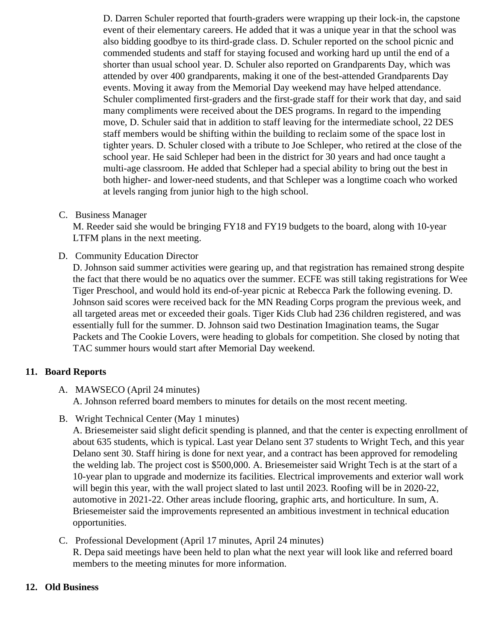D. Darren Schuler reported that fourth-graders were wrapping up their lock-in, the capstone event of their elementary careers. He added that it was a unique year in that the school was also bidding goodbye to its third-grade class. D. Schuler reported on the school picnic and commended students and staff for staying focused and working hard up until the end of a shorter than usual school year. D. Schuler also reported on Grandparents Day, which was attended by over 400 grandparents, making it one of the best-attended Grandparents Day events. Moving it away from the Memorial Day weekend may have helped attendance. Schuler complimented first-graders and the first-grade staff for their work that day, and said many compliments were received about the DES programs. In regard to the impending move, D. Schuler said that in addition to staff leaving for the intermediate school, 22 DES staff members would be shifting within the building to reclaim some of the space lost in tighter years. D. Schuler closed with a tribute to Joe Schleper, who retired at the close of the school year. He said Schleper had been in the district for 30 years and had once taught a multi-age classroom. He added that Schleper had a special ability to bring out the best in both higher- and lower-need students, and that Schleper was a longtime coach who worked at levels ranging from junior high to the high school.

C. Business Manager

M. Reeder said she would be bringing FY18 and FY19 budgets to the board, along with 10-year LTFM plans in the next meeting.

D. Community Education Director

D. Johnson said summer activities were gearing up, and that registration has remained strong desp the fact that there would be no aquatics over the summer. ECFE was still taking registrations for W Tiger Preschool, and would hold its end-of-year picnic at Rebecca Park the following evening. D. Johnson said scores were received back for the MN Reading Corps program the previous week, and all targeted areas met or exceeded their goals. Tiger Kids Club had 236 children registered, and wa essentially full for the summer. D. Johnson said two Destination Imagination teams, the Sugar Packets and The Cookie Lovers, were heading to globals for competition. She closed by noting that TAC summer hours would start after Memorial Day weekend.

## 11. Board Reports

# A. MAWSECO [\(April 24 minutes\)](/docs/district/2017_18/School_Board_Items/May_2018/MAWSECO_Board_Minutes_4.24.18.pdf)

A. Johnson referred board members to minutes for details on the most recent meeting.

B. Wright Technical Center [May 1 minute](/docs/district/2017_18/School_Board_Items/May_2018/WTC_Min_May_1.pdf)s

A. Briesemeister said slight deficit spending is planned, and that the center is expecting enrollment about 635 students, which is typical. Last year Delano sent 37 students to Wright Tech, and this ye Delano sent 30. Staff hiring is done for next year, and a contract has been approved for remodeling the welding lab. The project cost is \$500,000. A. Briesemeister said Wright Tech is at the start of a 10-year plan to upgrade and modernize its facilities. Electrical improvements and exterior wall work will begin this year, with the wall project slated to last until 2023. Roofing will be in 2020-22, automotive in 2021-22. Other areas include flooring, graphic arts, and horticulture. In sum, A. Briesemeister said the improvements represented an ambitious investment in technical education opportunities.

## C. Professional Developmen [April 17 minutes](/docs/district/2017_18/School_Board_Items/May_2018/PD_Agenda_4-17-18_(1).pdf) April 24 minutes

R. Depa said meetings have been held to plan what the next year will look like and referred board members to the meeting minutes for more information.

## 12. Old Business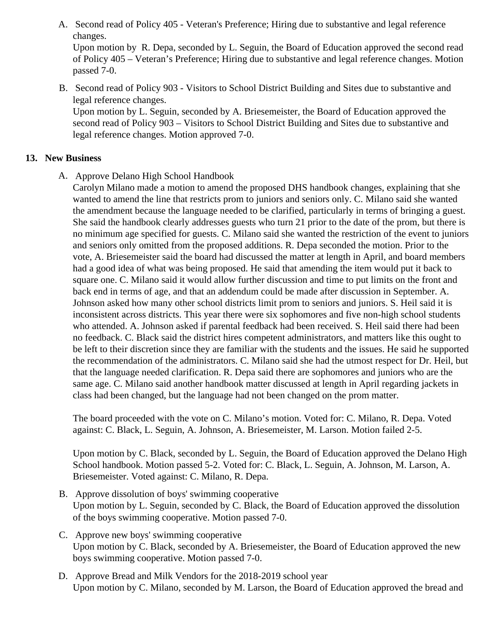A. Second read or Policy 405-Veteran's Preference; Hiring due to substantive and legal reference changes.

Upon motion by R. Depa, seconded by L. Seguin, the Board of Education approved the second re of Policy 405 – Veteran's Preference; Hiring due to substantive and legal reference changes. Motic passed 7-0.

B. Second read d Policy 903- Visitors to School District Building and Sites due to substantive and legal reference changes.

Upon motion by L. Seguin, seconded by A. Briesemeister, the Board of Education approved the second read of Policy 903 – Visitors to School District Building and Sites due to substantive and legal reference changes. Motion approved 7-0.

#### 13. New Business

- A. Approve Delano High School Handbook
	- Carolyn Milano made a motion to amend the proposed DHS handbook changes, explaining that she wanted to amend the line that restricts prom to juniors and seniors only. C. Milano said she wanted the amendment because the language needed to be clarified, particularly in terms of bringing a gue She said the handbook clearly addresses guests who turn 21 prior to the date of the prom, but there no minimum age specified for guests. C. Milano said she wanted the restriction of the event to junior and seniors only omitted from the proposed additions. R. Depa seconded the motion. Prior to the vote, A. Briesemeister said the board had discussed the matter at length in April, and board memb had a good idea of what was being proposed. He said that amending the item would put it back to square one. C. Milano said it would allow further discussion and time to put limits on the front and back end in terms of age, and that an addendum could be made after discussion in September. A. Johnson asked how many other school districts limit prom to seniors and juniors. S. Heil said it is inconsistent across districts. This year there were six sophomores and five non-high school studen who attended. A. Johnson asked if parental feedback had been received. S. Heil said there had be no feedback. C. Black said the district hires competent administrators, and matters like this ought to be left to their discretion since they are familiar with the students and the issues. He said he support the recommendation of the administrators. C. Milano said she had the utmost respect for Dr. Heil, I that the language needed clarification. R. Depa said there are sophomores and juniors who are the same age. C. Milano said another handbook matter discussed at length in April regarding jackets in class had been changed, but the language had not been changed on the prom matter.

The board proceeded with the vote on C. Milano's motion. Voted for: C. Milano, R. Depa. Voted against: C. Black, L. Seguin, A. Johnson, A. Briesemeister, M. Larson. Motion failed 2-5.

Upon motion by C. Black, seconded by L. Seguin, the Board of Education approved the Hughano School handbook. Motion passed 5-2. Voted for: C. Black, L. Seguin, A. Johnson, M. Larson, A. Briesemeister. Voted against: C. Milano, R. Depa.

- B. [Approve dissolution of boys' swimming coopera](/docs/district/Business_Office/Dissolution_Boys_Swim.pdf)tive Upon motion by L. Seguin, seconded by C. Black, the Board of Education approved the dissolution of the boys swimming cooperative. Motion passed 7-0.
- C. [Approve new boys' swimming cooperat](/docs/district/Business_Office/Coop_Application_Boys_Swim.pdf)ive Upon motion by C. Black, seconded by A. Briesemeister, the Board of Education approved the new boys swimming cooperative. Motion passed 7-0.
- D. [Approve Bread and Milk Vendors for the 2018-2019 school](/docs/district/Business_Office/FY19_Bread_and_Milk_Results_for_5.21.18_Board_Meeting.pdf) year Upon motion by C. Milano, seconded by M. Larson, the Board of Education approved the bread an